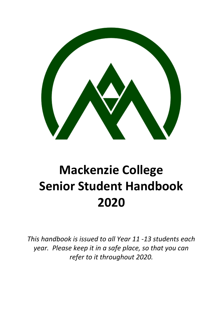

# **Mackenzie College Senior Student Handbook 2020**

*This handbook is issued to all Year 11 -13 students each year. Please keep it in a safe place, so that you can refer to it throughout 2020.*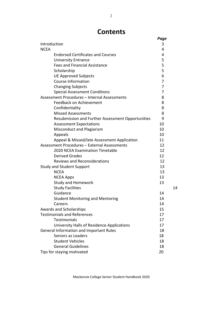### **Contents**

|                                                   | Page |
|---------------------------------------------------|------|
| Introduction                                      | 3    |
| <b>NCEA</b>                                       | 4    |
| <b>Endorsed Certificates and Courses</b>          | 4    |
| <b>University Entrance</b>                        | 5    |
| <b>Fees and Financial Assistance</b>              | 5    |
| Scholarship                                       | 5    |
| <b>UE Approved Subjects</b>                       | 6    |
| <b>Course Information</b>                         | 7    |
| <b>Changing Subjects</b>                          | 7    |
| <b>Special Assessment Conditions</b>              | 7    |
| Assessment Procedures - Internal Assessments      | 8    |
| Feedback on Achievement                           | 8    |
| Confidentiality                                   | 8    |
| <b>Missed Assessments</b>                         | 8    |
| Resubmission and Further Assessment Opportunities | 9    |
| <b>Assessment Expectations</b>                    | 10   |
| Misconduct and Plagiarism                         | 10   |
| Appeals                                           | 10   |
| Appeal & Missed/late Assessment Application       | 11   |
| Assessment Procedures - External Assessments      | 12   |
| 2020 NCEA Examination Timetable                   | 12   |
| <b>Derived Grades</b>                             | 12   |
| <b>Reviews and Reconsiderations</b>               | 12   |
| <b>Study and Student Support</b>                  | 13   |
| <b>NCEA</b>                                       | 13   |
| <b>NCEA Apps</b>                                  | 13   |
| <b>Study and Homework</b>                         | 13   |
| <b>Study Facilities</b>                           | 14   |
| Guidance                                          | 14   |
| <b>Student Monitoring and Mentoring</b>           | 14   |
| Careers                                           | 14   |
| Awards and Scholarships                           | 15   |
| <b>Testimonials and References</b>                | 17   |
| <b>Testimonials</b>                               | 17   |
| University Halls of Residence Applications        | 17   |
| General Information and Important Rules           | 18   |
| Seniors as Leaders                                | 18   |
| <b>Student Vehicles</b>                           | 18   |
| <b>General Guidelines</b>                         | 18   |
| Tips for staying motivated                        | 20   |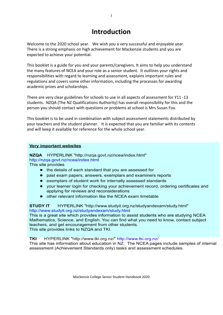## **Introduction**

Welcome to the 2020 school year. We wish you a very successful and enjoyable year. There is a strong emphasis on high achievement for Mackenzie students and you are expected to achieve your potential.

This booklet is a guide for you and your parents/caregivers. It aims to help you understand the many features of NCEA and your role as a senior student. It outlines your rights and responsibilities with regard to learning and assessment, explains important rules and regulations and covers some other information, including the processes for awarding academic prizes and scholarships.

There are very clear guidelines for schools to use in all aspects of assessment for Y11 -13 students. NZQA (The NZ Qualifications Authority) has overall responsibility for this and the person you should contact with questions or problems at school is Mrs Susan Fox.

This booklet is to be used in combination with subject assessment statements distributed by your teachers and the student planner. It is expected that you are familiar with its contents and will keep it available for reference for the whole school year.

#### **Very important websites**

NZQA HYPERLINK "http://nzqa.govt.nz/ncea/index.html" http://nzga.govt.nz/ncea/index.html This site provides

- the details of each standard that you are assessed for
- past exam papers, answers, exemplars and examiners reports
- exemplars of student work for internally assessed standards
- your learner login for checking your achievement record, ordering certificates and applying for reviews and reconsiderations
- other relevant information like the NCEA exam timetable

#### **STUDY IT** HYPERLINK "http://www.studyit.org.nz/studyandexam/study.html" http://www.studyit.org.nz/studyandexam/study.html

This is a great site which provides information to assist students who are studying NCEA Mathematics, Science, and English. You can find what you need to know, contact subject teachers, and get encouragement from other students. This site provides links to NZQA and TKI.

#### HYPERLINK "http://www.tki.org.nz/" http://www.tki.org.nz/ **TKI**

This site has information about education in NZ. The NCEA pages include samples of internal assessment (Achievement Standards only) tasks and assessment schedules.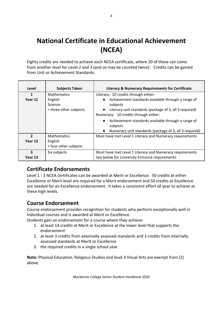## **National Certificate in Educational Achievement (NCEA)**

Eighty credits are needed to achieve each NCEA certificate, where 20 of these can come from another level for Level 2 and 3 (and so may be counted twice). Credits can be gained from Unit or Achievement Standards.

| Level                     | <b>Subjects Taken</b>                                               | <b>Literacy &amp; Numeracy Requirements for Certificate</b>                                                                                                                                                                                                                                                                                                                              |
|---------------------------|---------------------------------------------------------------------|------------------------------------------------------------------------------------------------------------------------------------------------------------------------------------------------------------------------------------------------------------------------------------------------------------------------------------------------------------------------------------------|
| 1<br>Year 11              | <b>Mathematics</b><br>English<br>Science<br>+ three other subjects. | Literacy: 10 credits through either:<br>Achievement standards available through a range of<br>$\bullet$<br>subjects<br>Literacy unit standards (package of 3, all 3 required)<br>$\bullet$<br>Numeracy: 10 credits through either:<br>Achievement standards available through a range of<br>$\bullet$<br>subjects<br>Numeracy unit standards (package of 3, all 3 required)<br>$\bullet$ |
| $\overline{2}$<br>Year 12 | <b>Mathematics</b><br>English<br>+ four other subjects              | Must have met Level 1 Literacy and Numeracy requirements                                                                                                                                                                                                                                                                                                                                 |
| 3<br>Year 13              | Six subjects                                                        | Must have met Level 1 Literacy and Numeracy requirements<br>See below for University Entrance requirements                                                                                                                                                                                                                                                                               |

### **Certificate Endorsements**

Level 1 - 3 NCEA certificates can be awarded at Merit or Excellence. 50 credits at either Excellence or Merit level are required for a Merit endorsement and 50 credits at Excellence are needed for an Excellence endorsement. It takes a consistent effort all year to achieve at these high levels.

### **Course Endorsement**

Course endorsement provides recognition for students who perform exceptionally well in individual courses and is awarded at Merit or Excellence.

Students gain an endorsement for a course where they achieve:

- 1. at least 14 credits at Merit or Excellence at the lower level that supports the endorsement
- 2. at least 3 credits from externally assessed standards and 3 credits from internally assessed standards at Merit or Excellence
- 3. the required credits in a single school year.

**Note:** Physical Education, Religious Studies and level 3 Visual Arts are exempt from (2) above.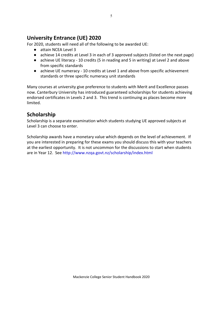### **University Entrance (UE) 2020**

For 2020, students will need all of the following to be awarded UE:

- attain NCEA Level 3
- achieve 14 credits at Level 3 in each of 3 approved subjects (listed on the next page)
- achieve UE literacy 10 credits (5 in reading and 5 in writing) at Level 2 and above from specific standards
- achieve UE numeracy 10 credits at Level 1 and above from specific achievement standards or three specific numeracy unit standards

Many courses at university give preference to students with Merit and Excellence passes now. Canterbury University has introduced guaranteed scholarships for students achieving endorsed certificates in Levels 2 and 3. This trend is continuing as places become more limited.

### **Scholarship**

Scholarship is a separate examination which students studying UE approved subjects at Level 3 can choose to enter.

Scholarship awards have a monetary value which depends on the level of achievement. If you are interested in preparing for these exams you should discuss this with your teachers at the earliest opportunity. It is not uncommon for the discussions to start when students are in Year 12. See <http://www.nzqa.govt.nz/scholarship/index.html>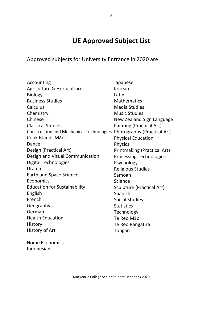## **UE Approved Subject List**

Approved subjects for University Entrance in 2020 are:

| Accounting                                      | Japanese                           |
|-------------------------------------------------|------------------------------------|
| Agriculture & Horticulture                      | Korean                             |
| <b>Biology</b>                                  | Latin                              |
| <b>Business Studies</b>                         | <b>Mathematics</b>                 |
| Calculus                                        | <b>Media Studies</b>               |
| Chemistry                                       | <b>Music Studies</b>               |
| Chinese                                         | New Zealand Sign Language          |
| <b>Classical Studies</b>                        | Painting (Practical Art)           |
| <b>Construction and Mechanical Technologies</b> | Photography (Practical Art)        |
| Cook Islands Māori                              | <b>Physical Education</b>          |
| Dance                                           | <b>Physics</b>                     |
| Design (Practical Art)                          | <b>Printmaking (Practical Art)</b> |
| Design and Visual Communication                 | <b>Processing Technologies</b>     |
| <b>Digital Technologies</b>                     | Psychology                         |
| Drama                                           | <b>Religious Studies</b>           |
| Earth and Space Science                         | Samoan                             |
| Economics                                       | Science                            |
| <b>Education for Sustainability</b>             | Sculpture (Practical Art)          |
| English                                         | Spanish                            |
| French                                          | <b>Social Studies</b>              |
| Geography                                       | <b>Statistics</b>                  |
| German                                          | Technology                         |
| <b>Health Education</b>                         | Te Reo Māori                       |
| History                                         | Te Reo Rangatira                   |
| History of Art                                  | Tongan                             |
|                                                 |                                    |

Home Economics Indonesian

Mackenzie College Senior Student Handbook 2020

6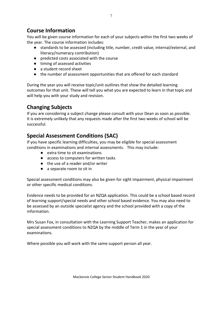### **Course Information**

You will be given course information for each of your subjects within the first two weeks of the year. The course information includes:

- standards to be assessed (including title, number, credit value, internal/external, and literacy/numeracy contribution)
- predicted costs associated with the course
- timing of assessed activities
- a student record sheet
- the number of assessment opportunities that are offered for each standard

During the year you will receive topic/unit outlines that show the detailed learning outcomes for that unit. These will tell you what you are expected to learn in that topic and will help you with your study and revision.

### **Changing Subjects**

If you are considering a subject change please consult with your Dean as soon as possible. It is extremely unlikely that any requests made after the first two weeks of school will be successful.

### **Special Assessment Conditions (SAC)**

If you have specific learning difficulties, you may be eligible for special assessment conditions in examinations and internal assessments. This may include:

- extra time to sit examinations
- access to computers for written tasks
- the use of a reader and/or writer
- a separate room to sit in

Special assessment conditions may also be given for sight impairment, physical impairment or other specific medical conditions.

Evidence needs to be provided for an NZQA application. This could be a school based record of learning support/special needs and other school based evidence. You may also need to be assessed by an outside specialist agency and the school provided with a copy of the information.

Mrs Susan Fox, in consultation with the Learning Support Teacher, makes an application for special assessment conditions to NZQA by the middle of Term 1 in the year of your examinations.

Where possible you will work with the same support person all year.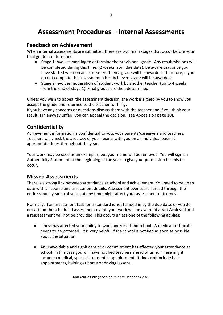## **Assessment Procedures – Internal Assessments**

#### **Feedback on Achievement**

When internal assessments are submitted there are two main stages that occur before your final grade is determined.

- Stage 1 involves marking to determine the provisional grade. Any resubmissions will be completed during this time. (2 weeks from due date). Be aware that once you have started work on an assessment then a grade will be awarded. Therefore, if you do not complete the assessment a Not Achieved grade will be awarded.
- Stage 2 involves moderation of student work by another teacher (up to 4 weeks from the end of stage 1). Final grades are then determined.

Unless you wish to appeal the assessment decision, the work is signed by you to show you accept the grade and returned to the teacher for filing.

If you have any concerns or questions discuss them with the teacher and if you think your result is in anyway unfair, you can appeal the decision, (see Appeals on page 10).

### **Confidentiality**

Achievement information is confidential to you, your parents/caregivers and teachers. Teachers will check the accuracy of your results with you on an individual basis at appropriate times throughout the year.

Your work may be used as an exemplar, but your name will be removed. You will sign an Authenticity Statement at the beginning of the year to give your permission for this to occur.

#### **Missed Assessments**

There is a strong link between attendance at school and achievement. You need to be up to date with all course and assessment details. Assessment events are spread through the entire school year so absence at any time might affect your assessment outcomes.

Normally, if an assessment task for a standard is not handed in by the due date, or you do not attend the scheduled assessment event, your work will be awarded a Not Achieved and a reassessment will not be provided. This occurs unless one of the following applies:

- Illness has affected your ability to work and/or attend school. A medical certificate needs to be provided. It is very helpful if the school is notified as soon as possible about the situation.
- An unavoidable and significant prior commitment has affected your attendance at school. In this case you will have notified teachers ahead of time. These might include a medical, specialist or dentist appointment. It **does not** include hair appointments, helping at home or driving lessons.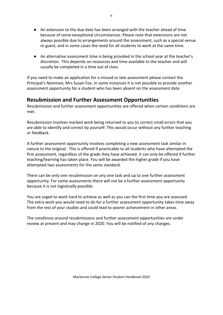- An extension to the due date has been arranged with the teacher ahead of time because of some exceptional circumstances. Please note that extensions are not always possible due to arrangements around the assessment, such as a special venue or guest, and in some cases the need for all students to work at the same time.
- An alternative assessment time is being provided in the school year at the teacher's discretion. This depends on resources and time available to the teacher and will usually be completed in a time out of class.

If you need to make an application for a missed or late assessment please contact the Principal's Nominee, Mrs Susan Fox. In some instances it is not possible to provide another assessment opportunity for a student who has been absent on the assessment date.

#### **Resubmission and Further Assessment Opportunities**

Resubmission and further assessment opportunities are offered when certain conditions are met.

Resubmission involves marked work being returned to you to correct small errors that you are able to identify and correct by yourself. This would occur without any further teaching or feedback.

A further assessment opportunity involves completing a new assessment task similar in nature to the original. This is offered if practicable to all students who have attempted the first assessment, regardless of the grade they have achieved. It can only be offered if further teaching/learning has taken place. You will be awarded the higher grade if you have attempted two assessments for the same standard.

There can be only one resubmission on any one task and up to one further assessment opportunity. For some assessments there will not be a further assessment opportunity because it is not logistically possible.

You are urged to work hard to achieve as well as you can the first time you are assessed. The extra work you would need to do for a further assessment opportunity takes time away from the rest of your studies and could lead to poorer achievement in other areas.

The conditions around resubmissions and further assessment opportunities are under review at present and may change in 2020. You will be notified of any changes.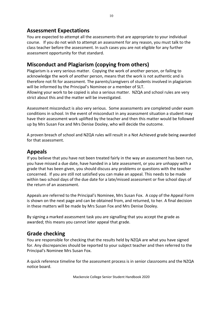#### **Assessment Expectations**

You are expected to attempt all the assessments that are appropriate to your individual course. If you do not wish to attempt an assessment for any reason, you must talk to the class teacher before the assessment. In such cases you are not eligible for any further assessment opportunity for that standard.

#### **Misconduct and Plagiarism (copying from others)**

Plagiarism is a very serious matter. Copying the work of another person, or failing to acknowledge the work of another person, means that the work is not authentic and is therefore not fit for assessment. The parents/caregivers of students involved in plagiarism will be informed by the Principal's Nominee or a member of SLT.

Allowing your work to be copied is also a serious matter. NZQA and school rules are very strict about this and the matter will be investigated.

Assessment misconduct is also very serious. Some assessments are completed under exam conditions in school. In the event of misconduct in any assessment situation a student may have their assessment work uplifted by the teacher and then this matter would be followed up by Mrs Susan Fox and Mrs Denise Dooley, who will decide the outcome.

A proven breach of school and NZQA rules will result in a Not Achieved grade being awarded for that assessment.

#### **Appeals**

If you believe that you have not been treated fairly in the way an assessment has been run, you have missed a due date, have handed in a late assessment, or you are unhappy with a grade that has been given, you should discuss any problems or questions with the teacher concerned. If you are still not satisfied you can make an appeal. This needs to be made within two school days of the due date for a late/missed assessment or five school days of the return of an assessment.

Appeals are referred to the Principal's Nominee, Mrs Susan Fox. A copy of the Appeal Form is shown on the next page and can be obtained from, and returned, to her. A final decision in these matters will be made by Mrs Susan Fox and Mrs Denise Dooley.

By signing a marked assessment task you are signalling that you accept the grade as awarded; this means you cannot later appeal that grade.

### **Grade checking**

You are responsible for checking that the results held by NZQA are what you have signed for. Any discrepancies should be reported to your subject teacher and then referred to the Principal's Nominee Mrs Susan Fox.

A quick reference timeline for the assessment process is in senior classrooms and the NZQA notice board.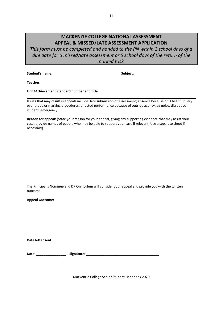#### **MACKENZIE COLLEGE NATIONAL ASSESSMENT APPEAL & MISSED/LATE ASSESSMENT APPLICATION**

*This form must be completed and handed to the PN within 2 school days of a due date for a missed/late assessment or 5 school days of the return of the marked task.*

**Student's name: Subject:**

**Teacher:**

**Unit/Achievement Standard number and title:**

Issues that may result in appeals include: late submission of assessment; absence because of ill health; query over grade or marking procedures; affected performance because of outside agency, eg noise, disruptive student, emergency.

**Reason for appeal:** (State your reason for your appeal, giving any supporting evidence that may assist your case; provide names of people who may be able to support your case if relevant. Use a separate sheet if necessary).

The Principal's Nominee and DP Curriculum will consider your appeal and provide you with the written outcome.

**Appeal Outcome:**

**Date letter sent:**

**Date: \_\_\_\_\_\_\_\_\_\_\_\_\_\_\_\_ Signature: \_\_\_\_\_\_\_\_\_\_\_\_\_\_\_\_\_\_\_\_\_\_\_\_\_\_\_\_\_\_\_\_\_\_\_\_\_\_\_**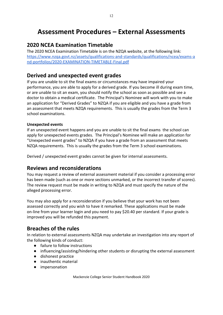## **Assessment Procedures – External Assessments**

12

### **2020 NCEA Examination Timetable**

The 2020 NCEA Examination Timetable is on the NZQA website, at the following link: [https://www.nzqa.govt.nz/assets/qualifications-and-standards/qualifications/ncea/exams-a](https://www.nzqa.govt.nz/assets/qualifications-and-standards/qualifications/ncea/exams-and-portfolios/2020-EXAMINATION-TIMETABLE-Final.pdf) [nd-portfolios/2020-EXAMINATION-TIMETABLE-Final.pdf](https://www.nzqa.govt.nz/assets/qualifications-and-standards/qualifications/ncea/exams-and-portfolios/2020-EXAMINATION-TIMETABLE-Final.pdf)

### **Derived and unexpected event grades**

If you are unable to sit the final exams or circumstances may have impaired your performance, you are able to apply for a derived grade. If you become ill during exam time, or are unable to sit an exam, you should notify the school as soon as possible and see a doctor to obtain a medical certificate. The Principal's Nominee will work with you to make an application for "Derived Grades" to NZQA if you are eligible and you have a grade from an assessment that meets NZQA requirements. This is usually the grades from the Term 3 school examinations.

#### **Unexpected events**

If an unexpected event happens and you are unable to sit the final exams the school can apply for unexpected events grades. The Principal's Nominee will make an application for "Unexpected event grades" to NZQA if you have a grade from an assessment that meets NZQA requirements. This is usually the grades from the Term 3 school examinations.

Derived / unexpected event grades cannot be given for internal assessments.

### **Reviews and reconsiderations**

You may request a review of external assessment material if you consider a processing error has been made (such as one or more sections unmarked, or the incorrect transfer of scores). The review request must be made in writing to NZQA and must specify the nature of the alleged processing error.

You may also apply for a reconsideration if you believe that your work has not been assessed correctly and you wish to have it remarked. These applications must be made on-line from your learner login and you need to pay \$20.40 per standard. If your grade is improved you will be refunded this payment.

### **Breaches of the rules**

In relation to external assessments NZQA may undertake an investigation into any report of the following kinds of conduct:

- failure to follow instructions
- influencing/assisting/hindering other students or disrupting the external assessment
- dishonest practice
- inauthentic material
- impersonation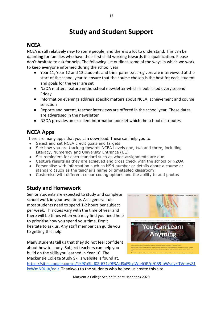## **Study and Student Support**

#### **NCEA**

NCEA is still relatively new to some people, and there is a lot to understand. This can be daunting for families who have their first child working towards this qualification. Please don't hesitate to ask for help. The following list outlines some of the ways in which we work to keep everyone informed during the school year:

- Year 11, Year 12 and 13 students and their parents/caregivers are interviewed at the start of the school year to ensure that the course chosen is the best for each student and goals for the year are set
- NZQA matters feature in the school newsletter which is published every second Friday
- Information evenings address specific matters about NCEA, achievement and course selection
- Reports and parent, teacher interviews are offered in the school year. These dates are advertised in the newsletter
- NZQA provides an excellent information booklet which the school distributes.

### **NCEA Apps**

There are many apps that you can download. These can help you to:

- Select and set NCEA credit goals and targets
- See how you are tracking towards NCEA Levels one, two and three, including Literacy, Numeracy and University Entrance (UE)
- Set reminders for each standard such as when assignments are due
- Capture results as they are achieved and cross check with the school or NZQA Personalise with information such as NSN number or details about a course or
- standard (such as the teacher's name or timetabled classroom)
- Customise with different colour coding options and the ability to add photos

### **Study and Homework**

Senior students are expected to study and complete school work in your own time. As a general rule most students need to spend 1-2 hours per subject per week. This does vary with the time of year and there will be times when you may find you need help to prioritise how you spend your time. Don't hesitate to ask us. Any staff member can guide you to getting this help.

Many students tell us that they do not feel confident about how to study. Subject teachers can help you build on the skills you learned in Year 10. The Mackenzie College Study Skills website is found at.



[https://sites.google.com/s/1K9CxSi\\_J0Zr671z0F3AcJSxF9cgWu4OP/p/0B9-bWszjyzjTVmVyZ1](https://sites.google.com/s/1K9CxSi_J0Zr671z0F3AcJSxF9cgWu4OP/p/0B9-bWszjyzjTVmVyZ1kxWmN0UjA/edit) [kxWmN0UjA/edit](https://sites.google.com/s/1K9CxSi_J0Zr671z0F3AcJSxF9cgWu4OP/p/0B9-bWszjyzjTVmVyZ1kxWmN0UjA/edit) Thankyou to the students who helped us create this site.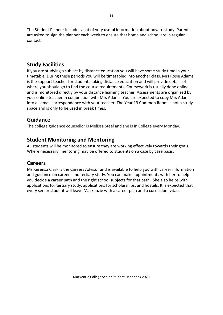The Student Planner includes a lot of very useful information about how to study. Parents are asked to sign the planner each week to ensure that home and school are in regular contact.

#### **Study Facilities**

If you are studying a subject by distance education you will have some study time in your timetable. During these periods you will be timetabled into another class. Mrs Rosie Adams is the support teacher for students taking distance education and will provide details of where you should go to find the course requirements. Coursework is usually done online and is monitored directly by your distance learning teacher. Assessments are organised by your online teacher in conjunction with Mrs Adams. You are expected to copy Mrs Adams into all email correspondence with your teacher. The Year 13 Common Room is not a study space and is only to be used in break times.

#### **Guidance**

The college guidance counsellor is Melissa Steel and she is in College every Monday.

#### **Student Monitoring and Mentoring**

All students will be monitored to ensure they are working effectively towards their goals. Where necessary, mentoring may be offered to students on a case by case basis.

#### **Careers**

Ms Kerensa Clark is the Careers Advisor and is available to help you with career information and guidance on careers and tertiary study. You can make appointments with her to help you decide a career path and the right school subjects for that path. She also helps with applications for tertiary study, applications for scholarships, and hostels. It is expected that every senior student will leave Mackenzie with a career plan and a curriculum vitae.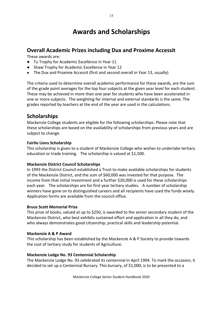## **Awards and Scholarships**

### **Overall Academic Prizes including Dux and Proxime Accessit**

These awards are:

- Tu Trophy for Academic Excellence in Year 11
- Shaw Trophy for Academic Excellence in Year 12
- The Dux and Proxime Accessit (first and second overall in Year 13, usually)

The criteria used to determine overall academic performance for these awards, are the sum of the grade point averages for the top four subjects at the given year level for each student. These may be achieved in more than one year for students who have been accelerated in one or more subjects. The weighting for internal and external standards is the same. The grades reported by teachers at the end of the year are used in the calculations.

#### **Scholarships**

Mackenzie College students are eligible for the following scholarships: Please note that these scholarships are based on the availability of scholarships from previous years and are subject to change.

#### **Fairlie Lions Scholarship**

This scholarship is given to a student of Mackenzie College who wishes to undertake tertiary education or trade training. The scholarship is valued at \$1,500.

#### **Mackenzie District Council Scholarships**

In 1993 the District Council established a Trust to make available scholarships for students of the Mackenzie District, and the sum of \$60,000 was invested for that purpose. The income from that initial investment and a further \$20,000 is used for these scholarships each year. The scholarships are for first year tertiary studies. A number of scholarship winners have gone on to distinguished careers and all recipients have used the funds wisely. Application forms are available from the council office.

#### **Bruce Scott Memorial Prize**

This prize of books, valued at up to \$250, is awarded to the senior secondary student of the Mackenzie District, who best exhibits sustained effort and application in all they do, and who always demonstrates good citizenship, practical skills and leadership potential.

#### **Mackenzie A & P Award**

This scholarship has been established by the Mackenzie A & P Society to provide towards the cost of tertiary study for students of Agriculture.

#### **Mackenzie Lodge No. 93 Centennial Scholarship**

The Mackenzie Lodge No. 93 celebrated its centennial in April 1994. To mark the occasion, it decided to set up a Centennial Bursary. This bursary, of \$1,000, is to be presented to a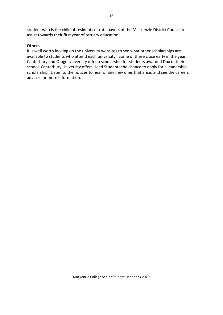student who is the child of residents or rate payers of the Mackenzie District Council to assist towards their first year of tertiary education.

#### **Others**

It is well worth looking on the university websites to see what other scholarships are available to students who attend each university. Some of these close early in the year. Canterbury and Otago University offer a scholarship for students awarded Dux of their school. Canterbury University offers Head Students the chance to apply for a leadership scholarship. Listen to the notices to hear of any new ones that arise, and see the careers advisor for more information.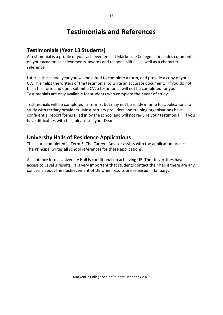## **Testimonials and References**

### **Testimonials (Year 13 Students)**

A testimonial is a profile of your achievements at Mackenzie College. It includes comments on your academic achievements, awards and responsibilities, as well as a character reference.

Later in the school year you will be asked to complete a form, and provide a copy of your CV. This helps the writers of the testimonial to write an accurate document. If you do not fill in this form and don't submit a CV, a testimonial will not be completed for you. Testimonials are only available for students who complete their year of study.

Testimonials will be completed in Term 3, but may not be ready in time for applications to study with tertiary providers. Most tertiary providers and training organisations have confidential report forms filled in by the school and will not require your testimonial. If you have difficulties with this, please see your Dean.

#### **University Halls of Residence Applications**

These are completed in Term 3. The Careers Advisor assists with the application process. The Principal writes all school references for these applications.

Acceptance into a University Hall is conditional on achieving UE. The Universities have access to Level 3 results. It is very important that students contact their hall if there are any concerns about their achievement of UE when results are released in January.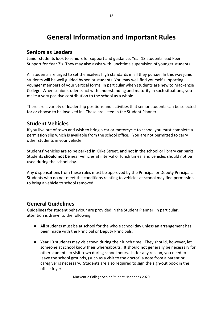## **General Information and Important Rules**

#### **Seniors as Leaders**

Junior students look to seniors for support and guidance. Year 13 students lead Peer Support for Year 7's. They may also assist with lunchtime supervision of younger students.

All students are urged to set themselves high standards in all they pursue. In this way junior students will be well guided by senior students. You may well find yourself supporting younger members of your vertical forms, in particular when students are new to Mackenzie College. When senior students act with understanding and maturity in such situations, you make a very positive contribution to the school as a whole.

There are a variety of leadership positions and activities that senior students can be selected for or choose to be involved in. These are listed in the Student Planner.

### **Student Vehicles**

If you live out of town and wish to bring a car or motorcycle to school you must complete a permission slip which is available from the school office. You are not permitted to carry other students in your vehicle.

Students' vehicles are to be parked in Kirke Street, and not in the school or library car parks. Students **should not be** near vehicles at interval or lunch times, and vehicles should not be used during the school day.

Any dispensations from these rules must be approved by the Principal or Deputy Principals. Students who do not meet the conditions relating to vehicles at school may find permission to bring a vehicle to school removed.

#### **General Guidelines**

Guidelines for student behaviour are provided in the Student Planner. In particular, attention is drawn to the following:

- All students must be at school for the whole school day unless an arrangement has been made with the Principal or Deputy Principals.
- Year 13 students may visit town during their lunch time. They should, however, let someone at school know their whereabouts. It should not generally be necessary for other students to visit town during school hours. If, for any reason, you need to leave the school grounds, (such as a visit to the doctor) a note from a parent or caregiver is necessary. Students are also required to sign the sign-out book in the office foyer.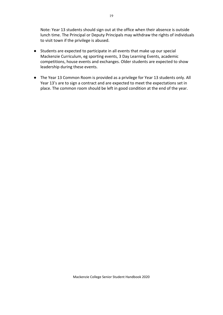Note: Year 13 students should sign out at the office when their absence is outside lunch time. The Principal or Deputy Principals may withdraw the rights of individuals to visit town if the privilege is abused.

- Students are expected to participate in all events that make up our special Mackenzie Curriculum, eg sporting events, 3 Day Learning Events, academic competitions, house events and exchanges. Older students are expected to show leadership during these events.
- The Year 13 Common Room is provided as a privilege for Year 13 students only. All Year 13's are to sign a contract and are expected to meet the expectations set in place. The common room should be left in good condition at the end of the year.